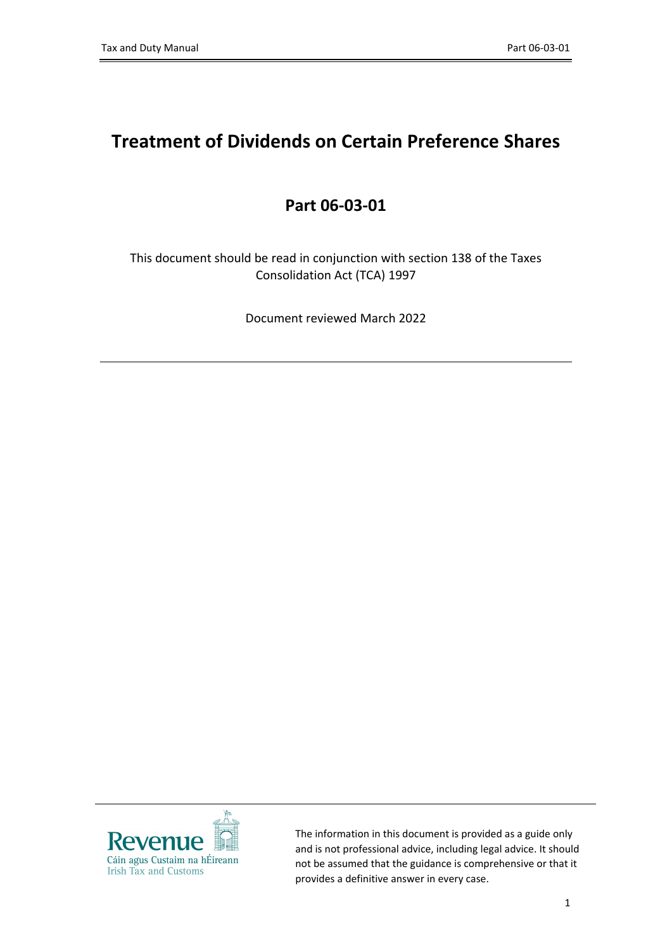# **Treatment of Dividends on Certain Preference Shares**

#### **Part 06-03-01**

This document should be read in conjunction with section 138 of the Taxes Consolidation Act (TCA) 1997

Document reviewed March 2022



The information in this document is provided as a guide only and is not professional advice, including legal advice. It should not be assumed that the guidance is comprehensive or that it provides a definitive answer in every case.